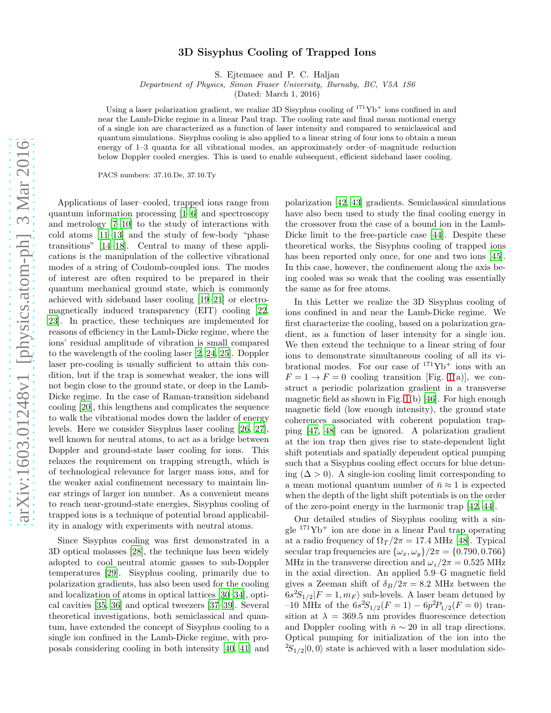## 3D Sisyphus Cooling of Trapped Ions

S. Ejtemaee and P. C. Haljan

Department of Physics, Simon Fraser University, Burnaby, BC, V5A 1S6

(Dated: March 1, 2016)

Using a laser polarization gradient, we realize 3D Sisyphus cooling of  $171\text{Yb}^+$  ions confined in and near the Lamb-Dicke regime in a linear Paul trap. The cooling rate and final mean motional energy of a single ion are characterized as a function of laser intensity and compared to semiclassical and quantum simulations. Sisyphus cooling is also applied to a linear string of four ions to obtain a mean energy of 1–3 quanta for all vibrational modes, an approximately order–of–magnitude reduction below Doppler cooled energies. This is used to enable subsequent, efficient sideband laser cooling.

PACS numbers: 37.10.De, 37.10.Ty

Applications of laser–cooled, trapped ions range from quantum information processing [\[1](#page-4-0)[–6](#page-4-1)] and spectroscopy and metrology [\[7](#page-4-2)[–10\]](#page-4-3) to the study of interactions with cold atoms [\[11](#page-4-4)[–13](#page-4-5)] and the study of few-body "phase transitions" [\[14](#page-4-6)[–18\]](#page-4-7). Central to many of these applications is the manipulation of the collective vibrational modes of a string of Coulomb-coupled ions. The modes of interest are often required to be prepared in their quantum mechanical ground state, which is commonly achieved with sideband laser cooling [\[19](#page-4-8)[–21](#page-4-9)] or electromagnetically induced transparency (EIT) cooling [\[22](#page-4-10), [23\]](#page-4-11). In practice, these techniques are implemented for reasons of efficiency in the Lamb-Dicke regime, where the ions' residual amplitude of vibration is small compared to the wavelength of the cooling laser [\[2,](#page-4-12) [24](#page-4-13), [25\]](#page-4-14). Doppler laser pre-cooling is usually sufficient to attain this condition, but if the trap is somewhat weaker, the ions will not begin close to the ground state, or deep in the Lamb-Dicke regime. In the case of Raman-transition sideband cooling [\[20\]](#page-4-15), this lengthens and complicates the sequence to walk the vibrational modes down the ladder of energy levels. Here we consider Sisyphus laser cooling [\[26,](#page-4-16) [27\]](#page-4-17), well known for neutral atoms, to act as a bridge between Doppler and ground-state laser cooling for ions. This relaxes the requirement on trapping strength, which is of technological relevance for larger mass ions, and for the weaker axial confinement necessary to maintain linear strings of larger ion number. As a convenient means to reach near-ground-state energies, Sisyphus cooling of trapped ions is a technique of potential broad applicability in analogy with experiments with neutral atoms.

Since Sisyphus cooling was first demonstrated in a 3D optical molasses [\[28\]](#page-4-18), the technique has been widely adopted to cool neutral atomic gasses to sub-Doppler temperatures [\[29\]](#page-4-19). Sisyphus cooling, primarily due to polarization gradients, has also been used for the cooling and localization of atoms in optical lattices [\[30](#page-4-20)[–34](#page-4-21)], optical cavities [\[35,](#page-4-22) [36\]](#page-4-23) and optical tweezers [\[37](#page-4-24)[–39](#page-4-25)]. Several theoretical investigations, both semiclassical and quantum, have extended the concept of Sisyphus cooling to a single ion confined in the Lamb-Dicke regime, with proposals considering cooling in both intensity [\[40](#page-4-26), [41\]](#page-4-27) and

polarization [\[42,](#page-4-28) [43\]](#page-4-29) gradients. Semiclassical simulations have also been used to study the final cooling energy in the crossover from the case of a bound ion in the Lamb-Dicke limit to the free-particle case [\[44\]](#page-4-30). Despite these theoretical works, the Sisyphus cooling of trapped ions has been reported only once, for one and two ions [\[45\]](#page-4-31). In this case, however, the confinement along the axis being cooled was so weak that the cooling was essentially the same as for free atoms.

In this Letter we realize the 3D Sisyphus cooling of ions confined in and near the Lamb-Dicke regime. We first characterize the cooling, based on a polarization gradient, as a function of laser intensity for a single ion. We then extend the technique to a linear string of four ions to demonstrate simultaneous cooling of all its vibrational modes. For our case of  $171\text{Yb}^+$  ions with an  $F = 1 \rightarrow F = 0$  cooling transition [Fig. [1\(](#page-1-0)a)], we construct a periodic polarization gradient in a transverse magnetic field as shown in Fig.  $1(b)$  [\[46](#page-4-32)]. For high enough magnetic field (low enough intensity), the ground state coherences associated with coherent population trapping [\[47,](#page-4-33) [48](#page-4-34)] can be ignored. A polarization gradient at the ion trap then gives rise to state-dependent light shift potentials and spatially dependent optical pumping such that a Sisyphus cooling effect occurs for blue detuning  $(\Delta > 0)$ . A single-ion cooling limit corresponding to a mean motional quantum number of  $\bar{n} \approx 1$  is expected when the depth of the light shift potentials is on the order of the zero-point energy in the harmonic trap [\[42](#page-4-28), [44](#page-4-30)].

Our detailed studies of Sisyphus cooling with a single  $171\text{Yb}^+$  ion are done in a linear Paul trap operating at a radio frequency of  $\Omega_T/2\pi = 17.4$  MHz [\[48\]](#page-4-34). Typical secular trap frequencies are  $\{\omega_x, \omega_y\}/2\pi = \{0.790, 0.766\}$ MHz in the transverse direction and  $\omega_z/2\pi = 0.525$  MHz in the axial direction. An applied 5.9–G magnetic field gives a Zeeman shift of  $\delta_B/2\pi = 8.2$  MHz between the  $6s^2S_{1/2}|F=1,m_F\rangle$  sub-levels. A laser beam detuned by -10 MHz of the  $6s^2S_{1/2}(F=1) - 6p^2P_{1/2}(F=0)$  transition at  $\lambda = 369.5$  nm provides fluorescence detection and Doppler cooling with  $\bar{n} \sim 20$  in all trap directions. Optical pumping for initialization of the ion into the  ${}^{2}S_{1/2}|0,0\rangle$  state is achieved with a laser modulation side-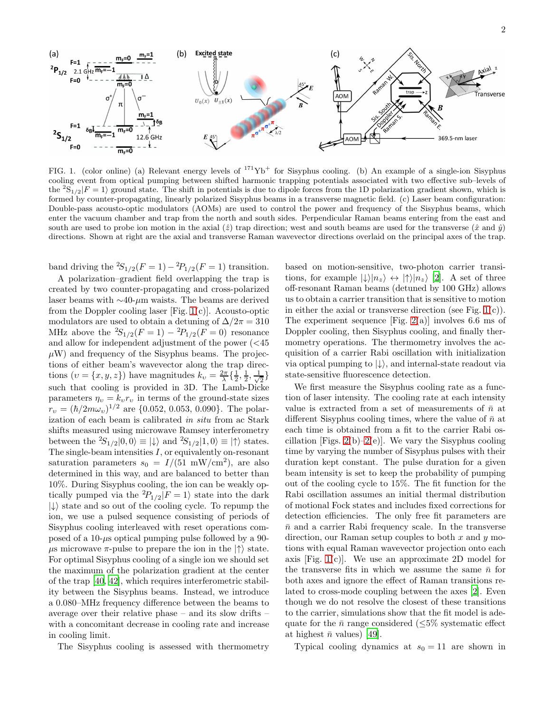

<span id="page-1-0"></span>FIG. 1. (color online) (a) Relevant energy levels of  $171\text{Yb}^+$  for Sisyphus cooling. (b) An example of a single-ion Sisyphus cooling event from optical pumping between shifted harmonic trapping potentials associated with two effective sub–levels of the  ${}^{2}S_{1/2}|F = 1\rangle$  ground state. The shift in potentials is due to dipole forces from the 1D polarization gradient shown, which is formed by counter-propagating, linearly polarized Sisyphus beams in a transverse magnetic field. (c) Laser beam configuration: Double-pass acousto-optic modulators (AOMs) are used to control the power and frequency of the Sisyphus beams, which enter the vacuum chamber and trap from the north and south sides. Perpendicular Raman beams entering from the east and south are used to probe ion motion in the axial  $(\hat{z})$  trap direction; west and south beams are used for the transverse  $(\hat{x} \text{ and } \hat{y})$ directions. Shown at right are the axial and transverse Raman wavevector directions overlaid on the principal axes of the trap.

band driving the  ${}^{2}S_{1/2}(F = 1) - {}^{2}P_{1/2}(F = 1)$  transition.

A polarization–gradient field overlapping the trap is created by two counter-propagating and cross-polarized laser beams with  $\sim$ 40-µm waists. The beams are derived from the Doppler cooling laser [Fig.  $1(c)$ ]. Acousto-optic modulators are used to obtain a detuning of  $\Delta/2\pi = 310$ MHz above the  ${}^{2}S_{1/2}(F = 1) - {}^{2}P_{1/2}(F = 0)$  resonance and allow for independent adjustment of the power  $\left( \langle 45 \rangle \right)$  $\mu$ W) and frequency of the Sisyphus beams. The projections of either beam's wavevector along the trap directions  $(v = \{x, y, z\})$  have magnitudes  $k_v = \frac{2\pi}{\lambda} \{\frac{1}{2}, \frac{1}{2}, \frac{1}{\sqrt{\lambda}}\}$  $\frac{1}{2}$ such that cooling is provided in 3D. The Lamb-Dicke parameters  $\eta_v = k_v r_v$  in terms of the ground-state sizes  $r_v = (\hbar/2m\omega_v)^{1/2}$  are {0.052, 0.053, 0.090}. The polarization of each beam is calibrated in situ from ac Stark shifts measured using microwave Ramsey interferometry between the  ${}^2S_{1/2} |0,0\rangle \equiv |\downarrow\rangle$  and  ${}^2S_{1/2} |1,0\rangle \equiv |\uparrow\rangle$  states. The single-beam intensities  $I$ , or equivalently on-resonant saturation parameters  $s_0 = I/(51 \text{ mW/cm}^2)$ , are also determined in this way, and are balanced to better than 10%. During Sisyphus cooling, the ion can be weakly optically pumped via the  ${}^{2}P_{1/2}|F = 1\rangle$  state into the dark  $|\downarrow\rangle$  state and so out of the cooling cycle. To repump the ion, we use a pulsed sequence consisting of periods of Sisyphus cooling interleaved with reset operations composed of a 10- $\mu$ s optical pumping pulse followed by a 90- $\mu$ s microwave  $\pi$ -pulse to prepare the ion in the  $|\uparrow\rangle$  state. For optimal Sisyphus cooling of a single ion we should set the maximum of the polarization gradient at the center of the trap [\[40,](#page-4-26) [42](#page-4-28)], which requires interferometric stability between the Sisyphus beams. Instead, we introduce a 0.080–MHz frequency difference between the beams to average over their relative phase – and its slow drifts – with a concomitant decrease in cooling rate and increase in cooling limit.

The Sisyphus cooling is assessed with thermometry

based on motion-sensitive, two-photon carrier transitions, for example  $|\downarrow\rangle|n_z\rangle \leftrightarrow |\uparrow\rangle|n_z\rangle$  [\[2](#page-4-12)]. A set of three off-resonant Raman beams (detuned by 100 GHz) allows us to obtain a carrier transition that is sensitive to motion in either the axial or transverse direction (see Fig.  $1(c)$ ). The experiment sequence [Fig.  $2(a)$ ] involves 6.6 ms of Doppler cooling, then Sisyphus cooling, and finally thermometry operations. The thermometry involves the acquisition of a carrier Rabi oscillation with initialization via optical pumping to  $|\downarrow\rangle$ , and internal-state readout via state-sensitive fluorescence detection.

We first measure the Sisyphus cooling rate as a function of laser intensity. The cooling rate at each intensity value is extracted from a set of measurements of  $\bar{n}$  at different Sisyphus cooling times, where the value of  $\bar{n}$  at each time is obtained from a fit to the carrier Rabi oscillation [Figs.  $2(b)-2(e)$ ]. We vary the Sisyphus cooling time by varying the number of Sisyphus pulses with their duration kept constant. The pulse duration for a given beam intensity is set to keep the probability of pumping out of the cooling cycle to 15%. The fit function for the Rabi oscillation assumes an initial thermal distribution of motional Fock states and includes fixed corrections for detection efficiencies. The only free fit parameters are  $\bar{n}$  and a carrier Rabi frequency scale. In the transverse direction, our Raman setup couples to both  $x$  and  $y$  motions with equal Raman wavevector projection onto each axis [Fig.  $1(c)$ ]. We use an approximate 2D model for the transverse fits in which we assume the same  $\bar{n}$  for both axes and ignore the effect of Raman transitions related to cross-mode coupling between the axes [\[2\]](#page-4-12). Even though we do not resolve the closest of these transitions to the carrier, simulations show that the fit model is adequate for the  $\bar{n}$  range considered ( $\leq 5\%$  systematic effect at highest  $\bar{n}$  values) [\[49](#page-4-35)].

Typical cooling dynamics at  $s_0 = 11$  are shown in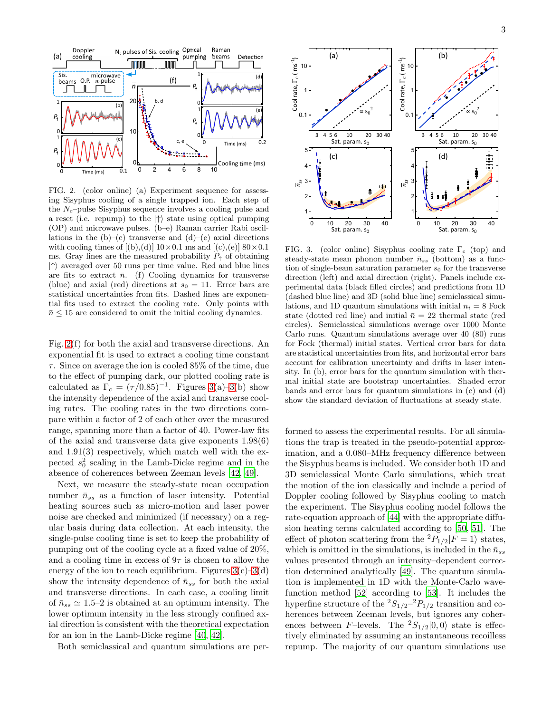

<span id="page-2-0"></span>FIG. 2. (color online) (a) Experiment sequence for assessing Sisyphus cooling of a single trapped ion. Each step of the  $N_c$ -pulse Sisyphus sequence involves a cooling pulse and a reset (i.e. repump) to the  $|\uparrow\rangle$  state using optical pumping (OP) and microwave pulses. (b–e) Raman carrier Rabi oscillations in the  $(b)$ – $(c)$  transverse and  $(d)$ – $(e)$  axial directions with cooling times of  $[(b),(d)]$  10×0.1 ms and  $[(c),(e)]$  80×0.1 ms. Gray lines are the measured probability  $P_{\uparrow}$  of obtaining  $|\uparrow\rangle$  averaged over 50 runs per time value. Red and blue lines are fits to extract  $\bar{n}$ . (f) Cooling dynamics for transverse (blue) and axial (red) directions at  $s_0 = 11$ . Error bars are statistical uncertainties from fits. Dashed lines are exponential fits used to extract the cooling rate. Only points with  $\bar{n} \leq 15$  are considered to omit the initial cooling dynamics.

Fig. [2\(](#page-2-0)f) for both the axial and transverse directions. An exponential fit is used to extract a cooling time constant τ. Since on average the ion is cooled 85% of the time, due to the effect of pumping dark, our plotted cooling rate is calculated as  $\Gamma_c = (\tau/0.85)^{-1}$ . Figures [3\(](#page-2-1)a)[–3\(](#page-2-1)b) show the intensity dependence of the axial and transverse cooling rates. The cooling rates in the two directions compare within a factor of 2 of each other over the measured range, spanning more than a factor of 40. Power-law fits of the axial and transverse data give exponents 1.98(6) and 1.91(3) respectively, which match well with the expected  $s_0^2$  scaling in the Lamb-Dicke regime and in the absence of coherences between Zeeman levels [\[42](#page-4-28), [49](#page-4-35)].

Next, we measure the steady-state mean occupation number  $\bar{n}_{ss}$  as a function of laser intensity. Potential heating sources such as micro-motion and laser power noise are checked and minimized (if necessary) on a regular basis during data collection. At each intensity, the single-pulse cooling time is set to keep the probability of pumping out of the cooling cycle at a fixed value of 20%, and a cooling time in excess of  $9\tau$  is chosen to allow the energy of the ion to reach equilibrium. Figures  $3(c)-3(d)$ show the intensity dependence of  $\bar{n}_{ss}$  for both the axial and transverse directions. In each case, a cooling limit of  $\bar{n}_{ss} \simeq 1.5-2$  is obtained at an optimum intensity. The lower optimum intensity in the less strongly confined axial direction is consistent with the theoretical expectation for an ion in the Lamb-Dicke regime [\[40,](#page-4-26) [42\]](#page-4-28).

Both semiclassical and quantum simulations are per-



<span id="page-2-1"></span>FIG. 3. (color online) Sisyphus cooling rate  $\Gamma_c$  (top) and steady-state mean phonon number  $\bar{n}_{ss}$  (bottom) as a function of single-beam saturation parameter  $s_0$  for the transverse direction (left) and axial direction (right). Panels include experimental data (black filled circles) and predictions from 1D (dashed blue line) and 3D (solid blue line) semiclassical simulations, and 1D quantum simulations with initial  $n_i = 8$  Fock state (dotted red line) and initial  $\bar{n} = 22$  thermal state (red circles). Semiclassical simulations average over 1000 Monte Carlo runs. Quantum simulations average over 40 (80) runs for Fock (thermal) initial states. Vertical error bars for data are statistical uncertainties from fits, and horizontal error bars account for calibration uncertainty and drifts in laser intensity. In (b), error bars for the quantum simulation with thermal initial state are bootstrap uncertainties. Shaded error bands and error bars for quantum simulations in (c) and (d) show the standard deviation of fluctuations at steady state.

formed to assess the experimental results. For all simulations the trap is treated in the pseudo-potential approximation, and a 0.080–MHz frequency difference between the Sisyphus beams is included. We consider both 1D and 3D semiclassical Monte Carlo simulations, which treat the motion of the ion classically and include a period of Doppler cooling followed by Sisyphus cooling to match the experiment. The Sisyphus cooling model follows the rate-equation approach of [\[44\]](#page-4-30) with the appropriate diffusion heating terms calculated according to [\[50,](#page-4-36) [51\]](#page-4-37). The effect of photon scattering from the  ${}^{2}P_{1/2}|F = 1\rangle$  states, which is omitted in the simulations, is included in the  $\bar{n}_{ss}$ values presented through an intensity–dependent correction determined analytically [\[49\]](#page-4-35). The quantum simulation is implemented in 1D with the Monte-Carlo wavefunction method [\[52\]](#page-4-38) according to [\[53](#page-4-39)]. It includes the hyperfine structure of the  ${}^{2}S_{1/2}$  ${}^{-2}P_{1/2}$  transition and coherences between Zeeman levels, but ignores any coherences between F-levels. The  ${}^2S_{1/2}|0,0\rangle$  state is effectively eliminated by assuming an instantaneous recoilless repump. The majority of our quantum simulations use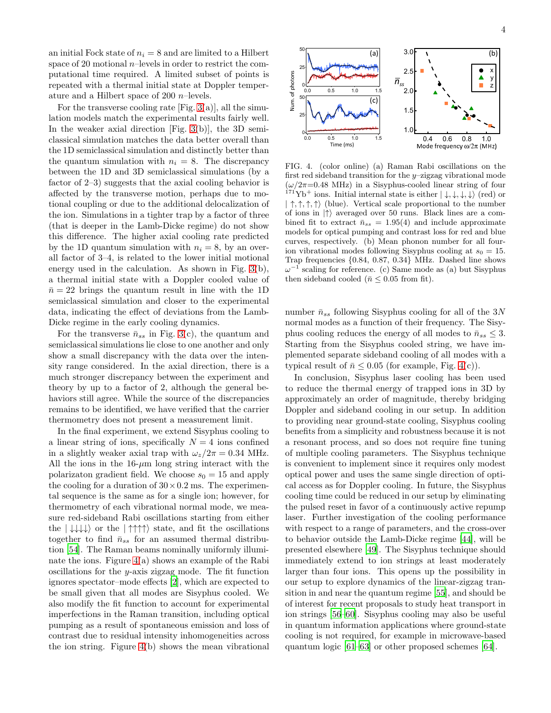an initial Fock state of  $n_i = 8$  and are limited to a Hilbert space of 20 motional  $n$ -levels in order to restrict the computational time required. A limited subset of points is repeated with a thermal initial state at Doppler temperature and a Hilbert space of 200 n–levels.

For the transverse cooling rate  $[Fig. 3(a)]$  $[Fig. 3(a)]$  $[Fig. 3(a)]$ , all the simulation models match the experimental results fairly well. In the weaker axial direction [Fig. [3\(](#page-2-1)b)], the 3D semiclassical simulation matches the data better overall than the 1D semiclassical simulation and distinctly better than the quantum simulation with  $n_i = 8$ . The discrepancy between the 1D and 3D semiclassical simulations (by a factor of 2–3) suggests that the axial cooling behavior is affected by the transverse motion, perhaps due to motional coupling or due to the additional delocalization of the ion. Simulations in a tighter trap by a factor of three (that is deeper in the Lamb-Dicke regime) do not show this difference. The higher axial cooling rate predicted by the 1D quantum simulation with  $n_i = 8$ , by an overall factor of 3–4, is related to the lower initial motional energy used in the calculation. As shown in Fig. [3\(](#page-2-1)b), a thermal initial state with a Doppler cooled value of  $\bar{n} = 22$  brings the quantum result in line with the 1D semiclassical simulation and closer to the experimental data, indicating the effect of deviations from the Lamb-Dicke regime in the early cooling dynamics.

For the transverse  $\bar{n}_{ss}$  in Fig. [3\(](#page-2-1)c), the quantum and semiclassical simulations lie close to one another and only show a small discrepancy with the data over the intensity range considered. In the axial direction, there is a much stronger discrepancy between the experiment and theory by up to a factor of 2, although the general behaviors still agree. While the source of the discrepancies remains to be identified, we have verified that the carrier thermometry does not present a measurement limit.

In the final experiment, we extend Sisyphus cooling to a linear string of ions, specifically  $N = 4$  ions confined in a slightly weaker axial trap with  $\omega_z/2\pi = 0.34$  MHz. All the ions in the  $16-\mu m$  long string interact with the polarizaton gradient field. We choose  $s_0 = 15$  and apply the cooling for a duration of  $30 \times 0.2$  ms. The experimental sequence is the same as for a single ion; however, for thermometry of each vibrational normal mode, we measure red-sideband Rabi oscillations starting from either the  $|\downarrow\downarrow\downarrow\downarrow\rangle$  or the  $|\uparrow\uparrow\uparrow\rangle$  state, and fit the oscillations together to find  $\bar{n}_{ss}$  for an assumed thermal distribution [\[54\]](#page-4-40). The Raman beams nominally uniformly illuminate the ions. Figure [4\(](#page-3-0)a) shows an example of the Rabi oscillations for the y-axis zigzag mode. The fit function ignores spectator–mode effects [\[2\]](#page-4-12), which are expected to be small given that all modes are Sisyphus cooled. We also modify the fit function to account for experimental imperfections in the Raman transition, including optical pumping as a result of spontaneous emission and loss of contrast due to residual intensity inhomogeneities across the ion string. Figure [4\(](#page-3-0)b) shows the mean vibrational



<span id="page-3-0"></span>FIG. 4. (color online) (a) Raman Rabi oscillations on the first red sideband transition for the  $y$ –zigzag vibrational mode  $(\omega/2\pi=0.48 \text{ MHz})$  in a Sisyphus-cooled linear string of four  $171'Yb^+$  ions. Initial internal state is either  $|\downarrow,\downarrow,\downarrow,\downarrow\rangle$  (red) or  $|\uparrow, \uparrow, \uparrow, \uparrow \rangle$  (blue). Vertical scale proportional to the number of ions in  $|\uparrow\rangle$  averaged over 50 runs. Black lines are a combined fit to extract  $\bar{n}_{ss} = 1.95(4)$  and include approximate models for optical pumping and contrast loss for red and blue curves, respectively. (b) Mean phonon number for all fourion vibrational modes following Sisyphus cooling at  $s_0 = 15$ . Trap frequencies {0.84, 0.87, 0.34} MHz. Dashed line shows  $\omega^{-1}$  scaling for reference. (c) Same mode as (a) but Sisyphus then sideband cooled ( $\bar{n} \leq 0.05$  from fit).

number  $\bar{n}_{ss}$  following Sisyphus cooling for all of the 3N normal modes as a function of their frequency. The Sisyphus cooling reduces the energy of all modes to  $\bar{n}_{ss} \leq 3$ . Starting from the Sisyphus cooled string, we have implemented separate sideband cooling of all modes with a typical result of  $\bar{n}$  < 0.05 (for example, Fig. [4\(](#page-3-0)c)).

In conclusion, Sisyphus laser cooling has been used to reduce the thermal energy of trapped ions in 3D by approximately an order of magnitude, thereby bridging Doppler and sideband cooling in our setup. In addition to providing near ground-state cooling, Sisyphus cooling benefits from a simplicity and robustness because it is not a resonant process, and so does not require fine tuning of multiple cooling parameters. The Sisyphus technique is convenient to implement since it requires only modest optical power and uses the same single direction of optical access as for Doppler cooling. In future, the Sisyphus cooling time could be reduced in our setup by eliminating the pulsed reset in favor of a continuously active repump laser. Further investigation of the cooling performance with respect to a range of parameters, and the cross-over to behavior outside the Lamb-Dicke regime [\[44\]](#page-4-30), will be presented elsewhere [\[49](#page-4-35)]. The Sisyphus technique should immediately extend to ion strings at least moderately larger than four ions. This opens up the possibility in our setup to explore dynamics of the linear-zigzag transition in and near the quantum regime [\[55\]](#page-5-0), and should be of interest for recent proposals to study heat transport in ion strings [\[56](#page-5-1)[–60](#page-5-2)]. Sisyphus cooling may also be useful in quantum information applications where ground-state cooling is not required, for example in microwave-based quantum logic [\[61](#page-5-3)[–63](#page-5-4)] or other proposed schemes [\[64\]](#page-5-5).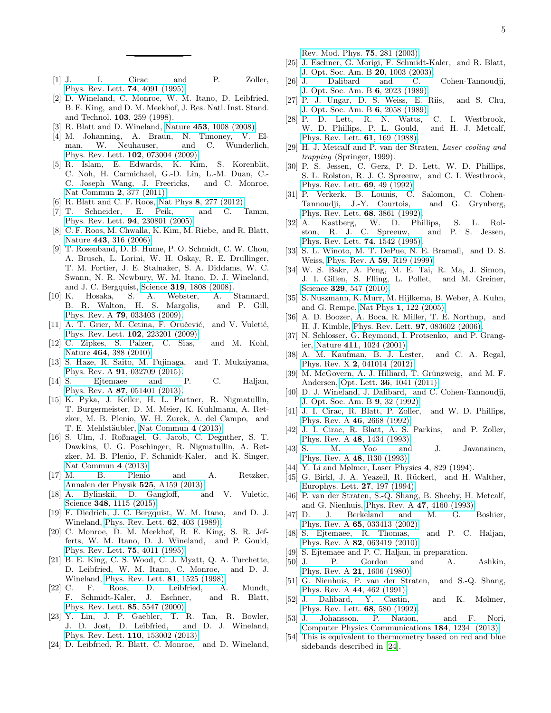[Rev. Mod. Phys.](http://dx.doi.org/ 10.1103/RevModPhys.75.281) 75, 281 (2003).

- <span id="page-4-0"></span>[1] J. I. Cirac and P. Zoller, [Phys. Rev. Lett.](http://dx.doi.org/10.1103/PhysRevLett.74.4091) 74, 4091 (1995).
- <span id="page-4-12"></span>[2] D. Wineland, C. Monroe, W. M. Itano, D. Leibfried, B. E. King, and D. M. Meekhof, J. Res. Natl. Inst. Stand. and Technol. 103, 259 (1998).
- [3] R. Blatt and D. Wineland, Nature 453[, 1008 \(2008\).](http://dx.doi.org/10.1038/nature07125)
- [4] M. Johanning, A. Braun, N. Timoney, V. Elman, W. Neuhauser, and C. Wunderlich, [Phys. Rev. Lett.](http://dx.doi.org/ 10.1103/PhysRevLett.102.073004) 102, 073004 (2009).
- [5] R. Islam, E. Edwards, K. Kim, S. Korenblit, C. Noh, H. Carmichael, G.-D. Lin, L.-M. Duan, C.- C. Joseph Wang, J. Freericks, and C. Monroe, [Nat Commun](http://dx.doi.org/10.1038/ncomms1374) 2, 377 (2011).
- <span id="page-4-1"></span>[6] R. Blatt and C. F. Roos, Nat Phys 8[, 277 \(2012\).](http://dx.doi.org/10.1038/nphys2252)<br>[7] T. Schneider, E. Peik, and C.
- <span id="page-4-2"></span>[7] T. Schneider, E. Peik, and C. Tamm, [Phys. Rev. Lett.](http://dx.doi.org/10.1103/PhysRevLett.94.230801) 94, 230801 (2005).
- [8] C. F. Roos, M. Chwalla, K. Kim, M. Riebe, and R. Blatt, Nature 443[, 316 \(2006\).](http://dx.doi.org/ 10.1038/nature05101)
- [9] T. Rosenband, D. B. Hume, P. O. Schmidt, C. W. Chou, A. Brusch, L. Lorini, W. H. Oskay, R. E. Drullinger, T. M. Fortier, J. E. Stalnaker, S. A. Diddams, W. C. Swann, N. R. Newbury, W. M. Itano, D. J. Wineland, and J. C. Bergquist, Science 319[, 1808 \(2008\).](http://dx.doi.org/ 10.1126/science.1154622)
- <span id="page-4-3"></span>[10] K. Hosaka, S. A. Webster, A. Stannard, B. R. Walton, H. S. Margolis, and P. Gill, Phys. Rev. A 79[, 033403 \(2009\).](http://dx.doi.org/ 10.1103/PhysRevA.79.033403)
- <span id="page-4-4"></span>[11] A. T. Grier, M. Cetina, F. Oručević, and V. Vuletić, [Phys. Rev. Lett.](http://dx.doi.org/ 10.1103/PhysRevLett.102.223201) 102, 223201 (2009).
- [12] C. Zipkes, S. Palzer, C. Sias, and M. Kohl, Nature 464[, 388 \(2010\).](http://dx.doi.org/10.1038/nature08865)
- <span id="page-4-5"></span>[13] S. Haze, R. Saito, M. Fujinaga, and T. Mukaiyama, Phys. Rev. A **91**[, 032709 \(2015\).](http://dx.doi.org/10.1103/PhysRevA.91.032709)<br>S. Eitemaee and P.
- <span id="page-4-6"></span>[14] S. Ejtemaee and P. C. Haljan, Phys. Rev. A 87[, 051401 \(2013\).](http://dx.doi.org/10.1103/PhysRevA.87.051401)
- [15] K. Pyka, J. Keller, H. L. Partner, R. Nigmatullin, T. Burgermeister, D. M. Meier, K. Kuhlmann, A. Retzker, M. B. Plenio, W. H. Zurek, A. del Campo, and T. E. Mehlstäubler, [Nat Commun](http://dx.doi.org/10.1038/ncomms3291) 4 (2013).
- [16] S. Ulm, J. Roßnagel, G. Jacob, C. Degnther, S. T. Dawkins, U. G. Poschinger, R. Nigmatullin, A. Retzker, M. B. Plenio, F. Schmidt-Kaler, and K. Singer, [Nat Commun](http://dx.doi.org/10.1038/ncomms3290) 4 (2013).
- [17] M. B. Plenio and A. Retzker, [Annalen der Physik](http://dx.doi.org/10.1002/andp.201300740) 525, A159 (2013).
- <span id="page-4-7"></span>[18] A. Bylinskii, D. Gangloff, and V. Vuletic, Science 348[, 1115 \(2015\).](http://dx.doi.org/10.1126/science.1261422)
- <span id="page-4-8"></span>[19] F. Diedrich, J. C. Bergquist, W. M. Itano, and D. J. Wineland, [Phys. Rev. Lett.](http://dx.doi.org/10.1103/PhysRevLett.62.403) 62, 403 (1989).
- <span id="page-4-15"></span>[20] C. Monroe, D. M. Meekhof, B. E. King, S. R. Jefferts, W. M. Itano, D. J. Wineland, and P. Gould, [Phys. Rev. Lett.](http://dx.doi.org/ 10.1103/PhysRevLett.75.4011) 75, 4011 (1995).
- <span id="page-4-9"></span>[21] B. E. King, C. S. Wood, C. J. Myatt, Q. A. Turchette, D. Leibfried, W. M. Itano, C. Monroe, and D. J. Wineland, [Phys. Rev. Lett.](http://dx.doi.org/ 10.1103/PhysRevLett.81.1525) 81, 1525 (1998).
- <span id="page-4-10"></span>[22] C. F. Roos, D. Leibfried, A. Mundt, F. Schmidt-Kaler, J. Eschner, and R. Blatt, [Phys. Rev. Lett.](http://dx.doi.org/ 10.1103/PhysRevLett.85.5547) 85, 5547 (2000).
- <span id="page-4-11"></span>[23] Y. Lin, J. P. Gaebler, T. R. Tan, R. Bowler, J. D. Jost, D. Leibfried, and D. J. Wineland, [Phys. Rev. Lett.](http://dx.doi.org/ 10.1103/PhysRevLett.110.153002) 110, 153002 (2013).
- <span id="page-4-13"></span>[24] D. Leibfried, R. Blatt, C. Monroe, and D. Wineland,
- <span id="page-4-14"></span>[25] J. Eschner, G. Morigi, F. Schmidt-Kaler, and R. Blatt, [J. Opt. Soc. Am. B](http://dx.doi.org/10.1364/JOSAB.20.001003) 20, 1003 (2003).
- <span id="page-4-16"></span>[26] J. Dalibard and C. Cohen-Tannoudji, [J. Opt. Soc. Am. B](http://dx.doi.org/10.1364/JOSAB.6.002023) 6, 2023 (1989).
- <span id="page-4-17"></span>[27] P. J. Ungar, D. S. Weiss, E. Riis, and S. Chu, [J. Opt. Soc. Am. B](http://dx.doi.org/ 10.1364/JOSAB.6.002058) 6, 2058 (1989).
- <span id="page-4-18"></span>[28] P. D. Lett, R. N. Watts, C. I. Westbrook, W. D. Phillips, P. L. Gould, and H. J. Metcalf, [Phys. Rev. Lett.](http://dx.doi.org/ 10.1103/PhysRevLett.61.169) 61, 169 (1988).
- <span id="page-4-19"></span>[29] H. J. Metcalf and P. van der Straten, Laser cooling and trapping (Springer, 1999).
- <span id="page-4-20"></span>[30] P. S. Jessen, C. Gerz, P. D. Lett, W. D. Phillips, S. L. Rolston, R. J. C. Spreeuw, and C. I. Westbrook, [Phys. Rev. Lett.](http://dx.doi.org/ 10.1103/PhysRevLett.69.49) 69, 49 (1992).
- [31] P. Verkerk, B. Lounis, C. Salomon, C. Cohen-Tannoudji, J.-Y. Courtois, and G. Grynberg, [Phys. Rev. Lett.](http://dx.doi.org/ 10.1103/PhysRevLett.68.3861) 68, 3861 (1992).
- [32] A. Kastberg, W. D. Phillips, S. L. Rolston, R. J. C. Spreeuw, and P. S. Jessen, [Phys. Rev. Lett.](http://dx.doi.org/10.1103/PhysRevLett.74.1542) 74, 1542 (1995).
- [33] S. L. Winoto, M. T. DePue, N. E. Bramall, and D. S. Weiss, [Phys. Rev. A](http://dx.doi.org/10.1103/PhysRevA.59.R19) 59, R19 (1999).
- <span id="page-4-21"></span>[34] W. S. Bakr, A. Peng, M. E. Tai, R. Ma, J. Simon, J. I. Gillen, S. Flling, L. Pollet, and M. Greiner, Science 329[, 547 \(2010\).](http://dx.doi.org/10.1126/science.1192368)
- <span id="page-4-22"></span>[35] S. Nuszmann, K. Murr, M. Hijlkema, B. Weber, A. Kuhn, and G. Rempe, Nat Phys 1[, 122 \(2005\).](http://dx.doi.org/ 10.1038/nphys120)
- <span id="page-4-23"></span>[36] A. D. Boozer, A. Boca, R. Miller, T. E. Northup, and H. J. Kimble, [Phys. Rev. Lett.](http://dx.doi.org/ 10.1103/PhysRevLett.97.083602) 97, 083602 (2006).
- <span id="page-4-24"></span>[37] N. Schlosser, G. Reymond, I. Protsenko, and P. Grangier, Nature 411[, 1024 \(2001\).](http://dx.doi.org/10.1038/35082512)
- [38] A. M. Kaufman, B. J. Lester, and C. A. Regal, Phys. Rev. X 2[, 041014 \(2012\).](http://dx.doi.org/10.1103/PhysRevX.2.041014)
- <span id="page-4-25"></span>[39] M. McGovern, A. J. Hilliard, T. Grünzweig, and M. F. Andersen, Opt. Lett. 36[, 1041 \(2011\).](http://dx.doi.org/10.1364/OL.36.001041)
- <span id="page-4-26"></span>[40] D. J. Wineland, J. Dalibard, and C. Cohen-Tannoudji, [J. Opt. Soc. Am. B](http://dx.doi.org/10.1364/JOSAB.9.000032) 9, 32 (1992).
- <span id="page-4-27"></span>[41] J. I. Cirac, R. Blatt, P. Zoller, and W. D. Phillips, [Phys. Rev. A](http://dx.doi.org/ 10.1103/PhysRevA.46.2668) 46, 2668 (1992).
- <span id="page-4-28"></span>[42] J. I. Cirac, R. Blatt, A. S. Parkins, and P. Zoller, [Phys. Rev. A](http://dx.doi.org/10.1103/PhysRevA.48.1434) 48, 1434 (1993).
- <span id="page-4-29"></span>[43] S. M. Yoo and J. Javanainen, [Phys. Rev. A](http://dx.doi.org/10.1103/PhysRevA.48.R30) 48, R30 (1993).
- <span id="page-4-30"></span>[44] Y. Li and Mølmer, Laser Physics 4, 829 (1994).
- <span id="page-4-31"></span>[45] G. Birkl, J. A. Yeazell, R. Rückerl, and H. Walther, [Europhys. Lett.](http://stacks.iop.org/0295-5075/27/i=3/a=005) 27, 197 (1994).
- <span id="page-4-32"></span>[46] P. van der Straten, S.-Q. Shang, B. Sheehy, H. Metcalf, and G. Nienhuis, Phys. Rev. A 47[, 4160 \(1993\).](http://dx.doi.org/10.1103/PhysRevA.47.4160)
- <span id="page-4-33"></span>[47] D. J. Berkeland and M. G. Boshier, Phys. Rev. A 65[, 033413 \(2002\).](http://dx.doi.org/10.1103/PhysRevA.65.033413)
- <span id="page-4-34"></span>[48] S. Ejtemaee, R. Thomas, and P. C. Haljan, Phys. Rev. A 82[, 063419 \(2010\).](http://dx.doi.org/10.1103/PhysRevA.82.063419)
- <span id="page-4-35"></span>[49] S. Ejtemaee and P. C. Haljan, in preparation.
- <span id="page-4-36"></span>[50] J. P. Gordon and A. Ashkin, [Phys. Rev. A](http://dx.doi.org/10.1103/PhysRevA.21.1606) 21, 1606 (1980).
- <span id="page-4-37"></span>[51] G. Nienhuis, P. van der Straten, and S.-Q. Shang, [Phys. Rev. A](http://dx.doi.org/10.1103/PhysRevA.44.462) 44, 462 (1991).
- <span id="page-4-38"></span>[52] J. Dalibard, Y. Castin, and K. Mølmer, [Phys. Rev. Lett.](http://dx.doi.org/10.1103/PhysRevLett.68.580) 68, 580 (1992).
- <span id="page-4-39"></span>[53] J. Johansson, P. Nation, and F. Nori, [Computer Physics Communications](http://dx.doi.org/10.1016/j.cpc.2012.11.019) 184, 1234 (2013).
- <span id="page-4-40"></span>[54] This is equivalent to thermometry based on red and blue sidebands described in [\[24\]](#page-4-13).